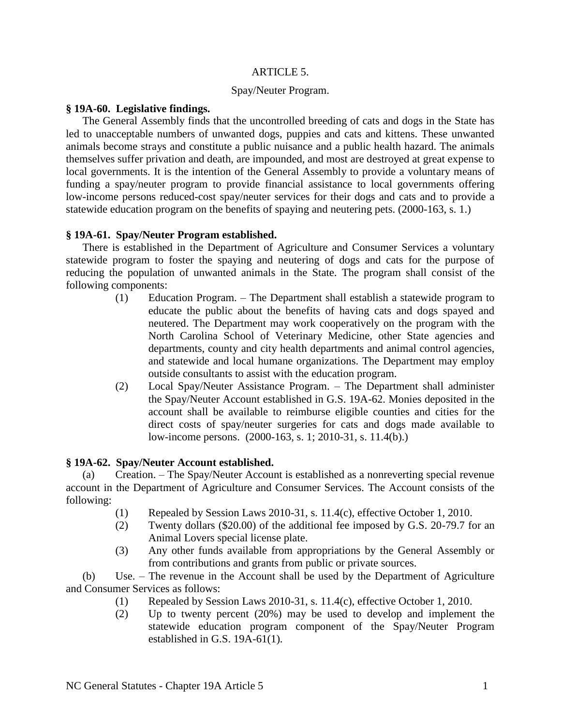#### ARTICLE 5.

### Spay/Neuter Program.

### **§ 19A-60. Legislative findings.**

The General Assembly finds that the uncontrolled breeding of cats and dogs in the State has led to unacceptable numbers of unwanted dogs, puppies and cats and kittens. These unwanted animals become strays and constitute a public nuisance and a public health hazard. The animals themselves suffer privation and death, are impounded, and most are destroyed at great expense to local governments. It is the intention of the General Assembly to provide a voluntary means of funding a spay/neuter program to provide financial assistance to local governments offering low-income persons reduced-cost spay/neuter services for their dogs and cats and to provide a statewide education program on the benefits of spaying and neutering pets. (2000-163, s. 1.)

#### **§ 19A-61. Spay/Neuter Program established.**

There is established in the Department of Agriculture and Consumer Services a voluntary statewide program to foster the spaying and neutering of dogs and cats for the purpose of reducing the population of unwanted animals in the State. The program shall consist of the following components:

- (1) Education Program. The Department shall establish a statewide program to educate the public about the benefits of having cats and dogs spayed and neutered. The Department may work cooperatively on the program with the North Carolina School of Veterinary Medicine, other State agencies and departments, county and city health departments and animal control agencies, and statewide and local humane organizations. The Department may employ outside consultants to assist with the education program.
- (2) Local Spay/Neuter Assistance Program. The Department shall administer the Spay/Neuter Account established in G.S. 19A-62. Monies deposited in the account shall be available to reimburse eligible counties and cities for the direct costs of spay/neuter surgeries for cats and dogs made available to low-income persons. (2000-163, s. 1; 2010-31, s. 11.4(b).)

## **§ 19A-62. Spay/Neuter Account established.**

(a) Creation. – The Spay/Neuter Account is established as a nonreverting special revenue account in the Department of Agriculture and Consumer Services. The Account consists of the following:

- (1) Repealed by Session Laws 2010-31, s. 11.4(c), effective October 1, 2010.
- (2) Twenty dollars (\$20.00) of the additional fee imposed by G.S. 20-79.7 for an Animal Lovers special license plate.
- (3) Any other funds available from appropriations by the General Assembly or from contributions and grants from public or private sources.

(b) Use. – The revenue in the Account shall be used by the Department of Agriculture and Consumer Services as follows:

- (1) Repealed by Session Laws 2010-31, s. 11.4(c), effective October 1, 2010.
- (2) Up to twenty percent (20%) may be used to develop and implement the statewide education program component of the Spay/Neuter Program established in G.S. 19A-61(1).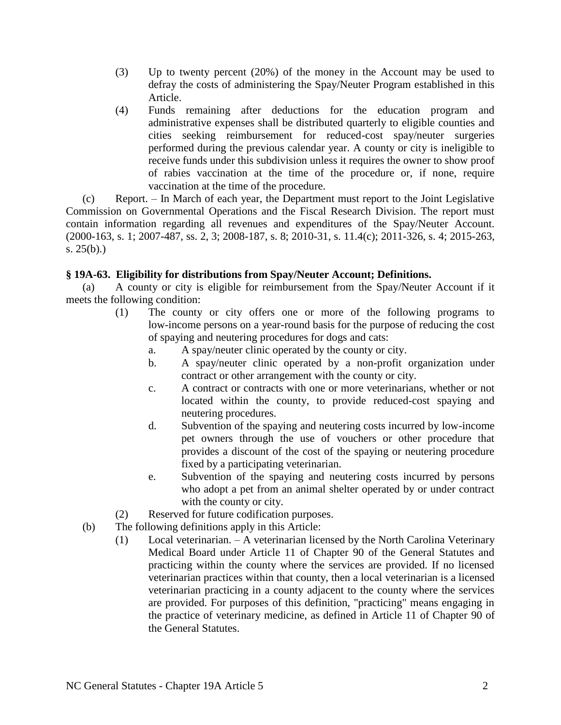- (3) Up to twenty percent (20%) of the money in the Account may be used to defray the costs of administering the Spay/Neuter Program established in this Article.
- (4) Funds remaining after deductions for the education program and administrative expenses shall be distributed quarterly to eligible counties and cities seeking reimbursement for reduced-cost spay/neuter surgeries performed during the previous calendar year. A county or city is ineligible to receive funds under this subdivision unless it requires the owner to show proof of rabies vaccination at the time of the procedure or, if none, require vaccination at the time of the procedure.

(c) Report. – In March of each year, the Department must report to the Joint Legislative Commission on Governmental Operations and the Fiscal Research Division. The report must contain information regarding all revenues and expenditures of the Spay/Neuter Account. (2000-163, s. 1; 2007-487, ss. 2, 3; 2008-187, s. 8; 2010-31, s. 11.4(c); 2011-326, s. 4; 2015-263, s. 25(b).)

# **§ 19A-63. Eligibility for distributions from Spay/Neuter Account; Definitions.**

(a) A county or city is eligible for reimbursement from the Spay/Neuter Account if it meets the following condition:

- (1) The county or city offers one or more of the following programs to low-income persons on a year-round basis for the purpose of reducing the cost of spaying and neutering procedures for dogs and cats:
	- a. A spay/neuter clinic operated by the county or city.
	- b. A spay/neuter clinic operated by a non-profit organization under contract or other arrangement with the county or city.
	- c. A contract or contracts with one or more veterinarians, whether or not located within the county, to provide reduced-cost spaying and neutering procedures.
	- d. Subvention of the spaying and neutering costs incurred by low-income pet owners through the use of vouchers or other procedure that provides a discount of the cost of the spaying or neutering procedure fixed by a participating veterinarian.
	- e. Subvention of the spaying and neutering costs incurred by persons who adopt a pet from an animal shelter operated by or under contract with the county or city.
- (2) Reserved for future codification purposes.
- (b) The following definitions apply in this Article:
	- (1) Local veterinarian. A veterinarian licensed by the North Carolina Veterinary Medical Board under Article 11 of Chapter 90 of the General Statutes and practicing within the county where the services are provided. If no licensed veterinarian practices within that county, then a local veterinarian is a licensed veterinarian practicing in a county adjacent to the county where the services are provided. For purposes of this definition, "practicing" means engaging in the practice of veterinary medicine, as defined in Article 11 of Chapter 90 of the General Statutes.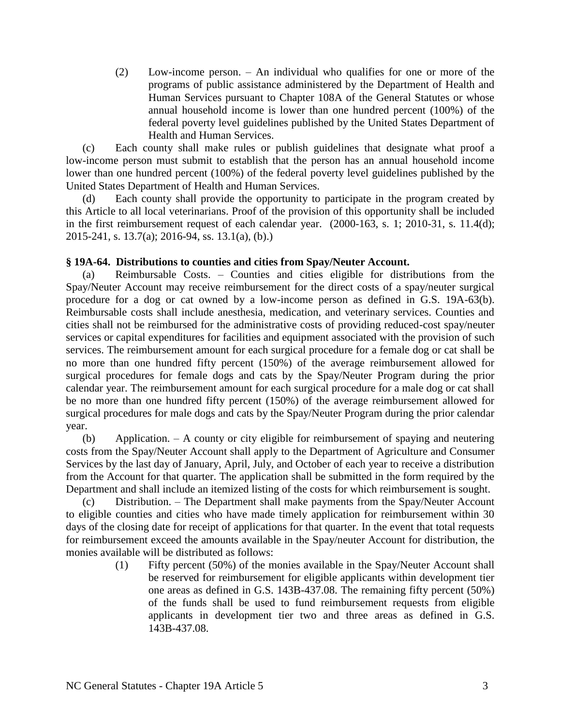(2) Low-income person. – An individual who qualifies for one or more of the programs of public assistance administered by the Department of Health and Human Services pursuant to Chapter 108A of the General Statutes or whose annual household income is lower than one hundred percent (100%) of the federal poverty level guidelines published by the United States Department of Health and Human Services.

(c) Each county shall make rules or publish guidelines that designate what proof a low-income person must submit to establish that the person has an annual household income lower than one hundred percent (100%) of the federal poverty level guidelines published by the United States Department of Health and Human Services.

(d) Each county shall provide the opportunity to participate in the program created by this Article to all local veterinarians. Proof of the provision of this opportunity shall be included in the first reimbursement request of each calendar year. (2000-163, s. 1; 2010-31, s. 11.4(d); 2015-241, s. 13.7(a); 2016-94, ss. 13.1(a), (b).)

# **§ 19A-64. Distributions to counties and cities from Spay/Neuter Account.**

(a) Reimbursable Costs. – Counties and cities eligible for distributions from the Spay/Neuter Account may receive reimbursement for the direct costs of a spay/neuter surgical procedure for a dog or cat owned by a low-income person as defined in G.S. 19A-63(b). Reimbursable costs shall include anesthesia, medication, and veterinary services. Counties and cities shall not be reimbursed for the administrative costs of providing reduced-cost spay/neuter services or capital expenditures for facilities and equipment associated with the provision of such services. The reimbursement amount for each surgical procedure for a female dog or cat shall be no more than one hundred fifty percent (150%) of the average reimbursement allowed for surgical procedures for female dogs and cats by the Spay/Neuter Program during the prior calendar year. The reimbursement amount for each surgical procedure for a male dog or cat shall be no more than one hundred fifty percent (150%) of the average reimbursement allowed for surgical procedures for male dogs and cats by the Spay/Neuter Program during the prior calendar year.

(b) Application. – A county or city eligible for reimbursement of spaying and neutering costs from the Spay/Neuter Account shall apply to the Department of Agriculture and Consumer Services by the last day of January, April, July, and October of each year to receive a distribution from the Account for that quarter. The application shall be submitted in the form required by the Department and shall include an itemized listing of the costs for which reimbursement is sought.

(c) Distribution. – The Department shall make payments from the Spay/Neuter Account to eligible counties and cities who have made timely application for reimbursement within 30 days of the closing date for receipt of applications for that quarter. In the event that total requests for reimbursement exceed the amounts available in the Spay/neuter Account for distribution, the monies available will be distributed as follows:

(1) Fifty percent (50%) of the monies available in the Spay/Neuter Account shall be reserved for reimbursement for eligible applicants within development tier one areas as defined in G.S. 143B-437.08. The remaining fifty percent (50%) of the funds shall be used to fund reimbursement requests from eligible applicants in development tier two and three areas as defined in G.S. 143B-437.08.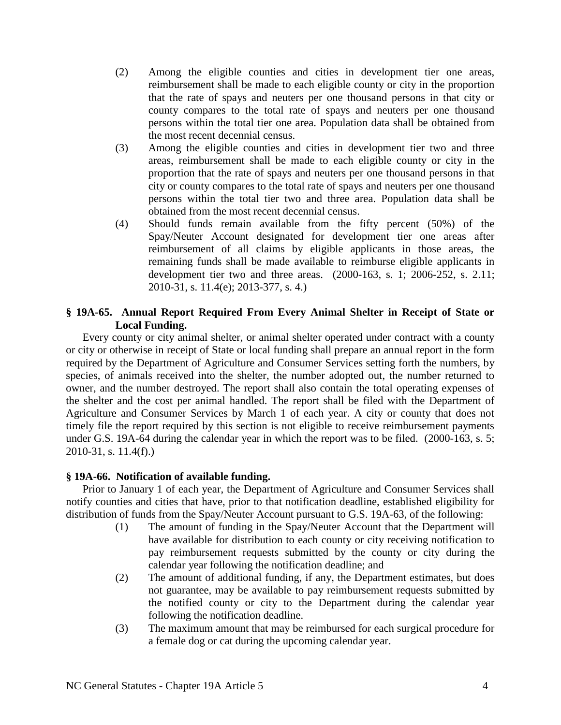- (2) Among the eligible counties and cities in development tier one areas, reimbursement shall be made to each eligible county or city in the proportion that the rate of spays and neuters per one thousand persons in that city or county compares to the total rate of spays and neuters per one thousand persons within the total tier one area. Population data shall be obtained from the most recent decennial census.
- (3) Among the eligible counties and cities in development tier two and three areas, reimbursement shall be made to each eligible county or city in the proportion that the rate of spays and neuters per one thousand persons in that city or county compares to the total rate of spays and neuters per one thousand persons within the total tier two and three area. Population data shall be obtained from the most recent decennial census.
- (4) Should funds remain available from the fifty percent (50%) of the Spay/Neuter Account designated for development tier one areas after reimbursement of all claims by eligible applicants in those areas, the remaining funds shall be made available to reimburse eligible applicants in development tier two and three areas. (2000-163, s. 1; 2006-252, s. 2.11; 2010-31, s. 11.4(e); 2013-377, s. 4.)

## **§ 19A-65. Annual Report Required From Every Animal Shelter in Receipt of State or Local Funding.**

Every county or city animal shelter, or animal shelter operated under contract with a county or city or otherwise in receipt of State or local funding shall prepare an annual report in the form required by the Department of Agriculture and Consumer Services setting forth the numbers, by species, of animals received into the shelter, the number adopted out, the number returned to owner, and the number destroyed. The report shall also contain the total operating expenses of the shelter and the cost per animal handled. The report shall be filed with the Department of Agriculture and Consumer Services by March 1 of each year. A city or county that does not timely file the report required by this section is not eligible to receive reimbursement payments under G.S. 19A-64 during the calendar year in which the report was to be filed. (2000-163, s. 5; 2010-31, s. 11.4(f).)

## **§ 19A-66. Notification of available funding.**

Prior to January 1 of each year, the Department of Agriculture and Consumer Services shall notify counties and cities that have, prior to that notification deadline, established eligibility for distribution of funds from the Spay/Neuter Account pursuant to G.S. 19A-63, of the following:

- (1) The amount of funding in the Spay/Neuter Account that the Department will have available for distribution to each county or city receiving notification to pay reimbursement requests submitted by the county or city during the calendar year following the notification deadline; and
- (2) The amount of additional funding, if any, the Department estimates, but does not guarantee, may be available to pay reimbursement requests submitted by the notified county or city to the Department during the calendar year following the notification deadline.
- (3) The maximum amount that may be reimbursed for each surgical procedure for a female dog or cat during the upcoming calendar year.